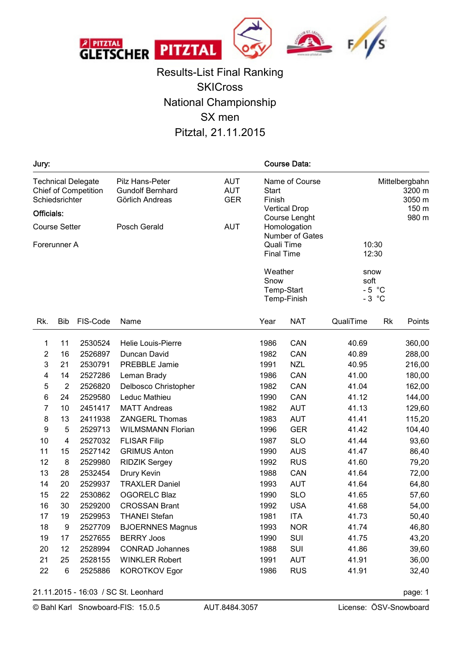

Results-List Final Ranking **SKICross** National Championship SX men Pitztal, 21.11.2015

| Jury:                                |                |                                                          |                                                               |                                        |                                                                  | <b>Course Data:</b>           |                                             |    |        |  |  |
|--------------------------------------|----------------|----------------------------------------------------------|---------------------------------------------------------------|----------------------------------------|------------------------------------------------------------------|-------------------------------|---------------------------------------------|----|--------|--|--|
| Officials:                           | Schiedsrichter | <b>Technical Delegate</b><br><b>Chief of Competition</b> | Pilz Hans-Peter<br><b>Gundolf Bernhard</b><br>Görlich Andreas | <b>AUT</b><br><b>AUT</b><br><b>GER</b> | Name of Course<br><b>Start</b><br>Finish<br><b>Vertical Drop</b> |                               | Mittelbergbahn<br>3200 m<br>3050 m<br>150 m |    |        |  |  |
| <b>Course Setter</b><br>Posch Gerald |                |                                                          |                                                               | <b>AUT</b>                             |                                                                  | Course Lenght<br>Homologation |                                             |    | 980 m  |  |  |
|                                      | Forerunner A   |                                                          |                                                               |                                        | Number of Gates<br>Quali Time<br><b>Final Time</b>               |                               | 10:30<br>12:30                              |    |        |  |  |
|                                      |                |                                                          |                                                               |                                        | Weather<br>Snow<br>Temp-Start<br>Temp-Finish                     |                               | snow<br>soft<br>$-5$ °C<br>$-3$ °C          |    |        |  |  |
| Rk.                                  | <b>Bib</b>     | FIS-Code                                                 | Name                                                          |                                        | Year                                                             | <b>NAT</b>                    | QualiTime                                   | Rk | Points |  |  |
| 1                                    | 11             | 2530524                                                  | <b>Helie Louis-Pierre</b>                                     |                                        | 1986                                                             | CAN                           | 40.69                                       |    | 360,00 |  |  |
| $\boldsymbol{2}$                     | 16             | 2526897                                                  | Duncan David                                                  |                                        | 1982                                                             | CAN                           | 40.89                                       |    | 288,00 |  |  |
| 3                                    | 21             | 2530791                                                  | <b>PREBBLE Jamie</b>                                          |                                        | 1991                                                             | <b>NZL</b>                    | 40.95                                       |    | 216,00 |  |  |
| 4                                    | 14             | 2527286                                                  | Leman Brady                                                   |                                        | 1986                                                             | CAN                           | 41.00                                       |    | 180,00 |  |  |
| 5                                    | $\overline{2}$ | 2526820                                                  | Delbosco Christopher                                          |                                        | 1982                                                             | CAN                           | 41.04                                       |    | 162,00 |  |  |
| 6                                    | 24             | 2529580                                                  | Leduc Mathieu                                                 |                                        | 1990                                                             | CAN                           | 41.12                                       |    | 144,00 |  |  |
| 7                                    | 10             | 2451417                                                  | <b>MATT Andreas</b>                                           |                                        | 1982                                                             | <b>AUT</b>                    | 41.13                                       |    | 129,60 |  |  |
| 8                                    | 13             | 2411938                                                  | <b>ZANGERL Thomas</b>                                         |                                        | 1983                                                             | <b>AUT</b>                    | 41.41                                       |    | 115,20 |  |  |
| 9                                    | 5              | 2529713                                                  | <b>WILMSMANN Florian</b>                                      |                                        | 1996                                                             | <b>GER</b>                    | 41.42                                       |    | 104,40 |  |  |
| 10                                   | 4              | 2527032                                                  | <b>FLISAR Filip</b>                                           |                                        | 1987                                                             | <b>SLO</b>                    | 41.44                                       |    | 93,60  |  |  |
| 11                                   | 15             | 2527142                                                  | <b>GRIMUS Anton</b>                                           |                                        | 1990                                                             | <b>AUS</b>                    | 41.47                                       |    | 86,40  |  |  |
| 12                                   | 8              | 2529980                                                  | <b>RIDZIK Sergey</b>                                          |                                        | 1992                                                             | <b>RUS</b>                    | 41.60                                       |    | 79,20  |  |  |
| 13                                   | 28             | 2532454                                                  | Drury Kevin                                                   |                                        | 1988                                                             | CAN                           | 41.64                                       |    | 72,00  |  |  |
| 14                                   | 20             | 2529937                                                  | <b>TRAXLER Daniel</b>                                         |                                        | 1993                                                             | <b>AUT</b>                    | 41.64                                       |    | 64,80  |  |  |
| 15                                   | 22             | 2530862                                                  | <b>OGORELC Blaz</b>                                           |                                        | 1990                                                             | <b>SLO</b>                    | 41.65                                       |    | 57,60  |  |  |
| 16                                   | 30             | 2529200                                                  | <b>CROSSAN Brant</b>                                          |                                        | 1992                                                             | <b>USA</b>                    | 41.68                                       |    | 54,00  |  |  |
| 17                                   | 19             | 2529953                                                  | <b>THANEI Stefan</b>                                          |                                        | 1981                                                             | <b>ITA</b>                    | 41.73                                       |    | 50,40  |  |  |
| 18                                   | 9              | 2527709                                                  | <b>BJOERNNES Magnus</b>                                       |                                        | 1993                                                             | <b>NOR</b>                    | 41.74                                       |    | 46,80  |  |  |
| 19                                   | 17             | 2527655                                                  | <b>BERRY Joos</b>                                             |                                        | 1990                                                             | SUI                           | 41.75                                       |    | 43,20  |  |  |
| 20                                   | 12             | 2528994                                                  | <b>CONRAD Johannes</b>                                        |                                        | 1988                                                             | SUI                           | 41.86                                       |    | 39,60  |  |  |
| 21                                   | 25             | 2528155                                                  | <b>WINKLER Robert</b>                                         |                                        | 1991                                                             | <b>AUT</b>                    | 41.91                                       |    | 36,00  |  |  |
| 22                                   | 6              | 2525886                                                  | <b>KOROTKOV Egor</b>                                          |                                        | 1986                                                             | <b>RUS</b>                    | 41.91                                       |    | 32,40  |  |  |

21.11.2015 - 16:03 / SC St. Leonhard page: 1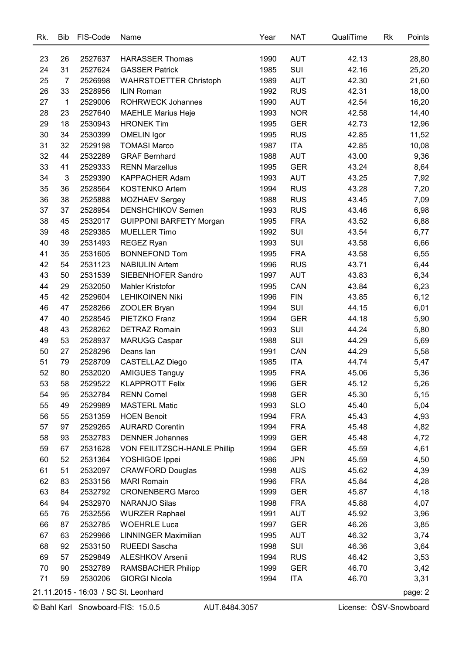| Rk. | <b>Bib</b>                           | FIS-Code | Name                           | Year | <b>NAT</b> | QualiTime | Rk | Points  |  |
|-----|--------------------------------------|----------|--------------------------------|------|------------|-----------|----|---------|--|
|     |                                      |          |                                |      |            |           |    |         |  |
| 23  | 26                                   | 2527637  | <b>HARASSER Thomas</b>         | 1990 | <b>AUT</b> | 42.13     |    | 28,80   |  |
| 24  | 31                                   | 2527624  | <b>GASSER Patrick</b>          | 1985 | SUI        | 42.16     |    | 25,20   |  |
| 25  | 7                                    | 2526998  | <b>WAHRSTOETTER Christoph</b>  | 1989 | <b>AUT</b> | 42.30     |    | 21,60   |  |
| 26  | 33                                   | 2528956  | <b>ILIN Roman</b>              | 1992 | <b>RUS</b> | 42.31     |    | 18,00   |  |
| 27  | $\mathbf 1$                          | 2529006  | <b>ROHRWECK Johannes</b>       | 1990 | <b>AUT</b> | 42.54     |    | 16,20   |  |
| 28  | 23                                   | 2527640  | <b>MAEHLE Marius Heje</b>      | 1993 | <b>NOR</b> | 42.58     |    | 14,40   |  |
| 29  | 18                                   | 2530943  | <b>HRONEK Tim</b>              | 1995 | <b>GER</b> | 42.73     |    | 12,96   |  |
| 30  | 34                                   | 2530399  | <b>OMELIN</b> Igor             | 1995 | <b>RUS</b> | 42.85     |    | 11,52   |  |
| 31  | 32                                   | 2529198  | <b>TOMASI Marco</b>            | 1987 | <b>ITA</b> | 42.85     |    | 10,08   |  |
| 32  | 44                                   | 2532289  | <b>GRAF Bernhard</b>           | 1988 | <b>AUT</b> | 43.00     |    | 9,36    |  |
| 33  | 41                                   | 2529333  | <b>RENN Marzellus</b>          | 1995 | <b>GER</b> | 43.24     |    | 8,64    |  |
| 34  | 3                                    | 2529390  | <b>KAPPACHER Adam</b>          | 1993 | <b>AUT</b> | 43.25     |    | 7,92    |  |
| 35  | 36                                   | 2528564  | KOSTENKO Artem                 | 1994 | <b>RUS</b> | 43.28     |    | 7,20    |  |
| 36  | 38                                   | 2525888  | <b>MOZHAEV Sergey</b>          | 1988 | <b>RUS</b> | 43.45     |    | 7,09    |  |
| 37  | 37                                   | 2528954  | DENSHCHIKOV Semen              | 1993 | <b>RUS</b> | 43.46     |    | 6,98    |  |
| 38  | 45                                   | 2532017  | <b>GUIPPONI BARFETY Morgan</b> | 1995 | <b>FRA</b> | 43.52     |    | 6,88    |  |
| 39  | 48                                   | 2529385  | <b>MUELLER Timo</b>            | 1992 | SUI        | 43.54     |    | 6,77    |  |
| 40  | 39                                   | 2531493  | <b>REGEZ Ryan</b>              | 1993 | SUI        | 43.58     |    | 6,66    |  |
| 41  | 35                                   | 2531605  | <b>BONNEFOND Tom</b>           | 1995 | <b>FRA</b> | 43.58     |    | 6,55    |  |
| 42  | 54                                   | 2531123  | <b>NABIULIN Artem</b>          | 1996 | <b>RUS</b> | 43.71     |    | 6,44    |  |
| 43  | 50                                   | 2531539  | SIEBENHOFER Sandro             | 1997 | <b>AUT</b> | 43.83     |    | 6,34    |  |
| 44  | 29                                   | 2532050  | Mahler Kristofor               | 1995 | CAN        | 43.84     |    | 6,23    |  |
| 45  | 42                                   | 2529604  | <b>LEHIKOINEN Niki</b>         | 1996 | <b>FIN</b> | 43.85     |    | 6,12    |  |
| 46  | 47                                   | 2528266  | ZOOLER Bryan                   | 1994 | SUI        | 44.15     |    | 6,01    |  |
| 47  | 40                                   | 2528545  | PIETZKO Franz                  | 1994 | <b>GER</b> | 44.18     |    | 5,90    |  |
| 48  | 43                                   | 2528262  | <b>DETRAZ Romain</b>           | 1993 | SUI        | 44.24     |    | 5,80    |  |
| 49  | 53                                   | 2528937  | MARUGG Caspar                  | 1988 | SUI        | 44.29     |    | 5,69    |  |
| 50  | 27                                   | 2528296  | Deans lan                      | 1991 | CAN        | 44.29     |    | 5,58    |  |
| 51  | 79                                   | 2528709  | <b>CASTELLAZ Diego</b>         | 1985 | <b>ITA</b> | 44.74     |    | 5,47    |  |
| 52  | 80                                   | 2532020  | <b>AMIGUES Tanguy</b>          | 1995 | <b>FRA</b> | 45.06     |    | 5,36    |  |
| 53  | 58                                   | 2529522  | <b>KLAPPROTT Felix</b>         | 1996 | <b>GER</b> | 45.12     |    | 5,26    |  |
| 54  | 95                                   | 2532784  | <b>RENN Cornel</b>             | 1998 | <b>GER</b> | 45.30     |    | 5,15    |  |
| 55  | 49                                   | 2529989  | <b>MASTERL Matic</b>           | 1993 | <b>SLO</b> | 45.40     |    | 5,04    |  |
| 56  | 55                                   | 2531359  | <b>HOEN Benoit</b>             | 1994 | <b>FRA</b> | 45.43     |    | 4,93    |  |
| 57  | 97                                   | 2529265  | <b>AURARD Corentin</b>         | 1994 | <b>FRA</b> | 45.48     |    | 4,82    |  |
| 58  | 93                                   | 2532783  | <b>DENNER Johannes</b>         | 1999 | <b>GER</b> | 45.48     |    | 4,72    |  |
| 59  | 67                                   | 2531628  | VON FEILITZSCH-HANLE Phillip   | 1994 | <b>GER</b> | 45.59     |    | 4,61    |  |
| 60  | 52                                   | 2531364  | YOSHIGOE Ippei                 | 1986 | <b>JPN</b> | 45.59     |    | 4,50    |  |
| 61  | 51                                   | 2532097  | <b>CRAWFORD Douglas</b>        | 1998 | <b>AUS</b> | 45.62     |    | 4,39    |  |
| 62  | 83                                   | 2533156  | <b>MARI Romain</b>             | 1996 | <b>FRA</b> | 45.84     |    | 4,28    |  |
| 63  | 84                                   | 2532792  | <b>CRONENBERG Marco</b>        | 1999 | <b>GER</b> | 45.87     |    | 4,18    |  |
| 64  | 94                                   | 2532970  | <b>NARANJO Silas</b>           | 1998 | <b>FRA</b> | 45.88     |    | 4,07    |  |
| 65  | 76                                   | 2532556  | <b>WURZER Raphael</b>          | 1991 | <b>AUT</b> | 45.92     |    | 3,96    |  |
| 66  | 87                                   | 2532785  | <b>WOEHRLE Luca</b>            | 1997 | <b>GER</b> | 46.26     |    | 3,85    |  |
| 67  | 63                                   | 2529966  | <b>LINNINGER Maximilian</b>    | 1995 | <b>AUT</b> | 46.32     |    | 3,74    |  |
| 68  | 92                                   | 2533150  | RUEEDI Sascha                  | 1998 | SUI        | 46.36     |    | 3,64    |  |
| 69  | 57                                   | 2529849  | ALESHKOV Arsenii               | 1994 | <b>RUS</b> | 46.42     |    | 3,53    |  |
| 70  | 90                                   | 2532789  | <b>RAMSBACHER Philipp</b>      | 1999 | <b>GER</b> | 46.70     |    | 3,42    |  |
| 71  | 59                                   | 2530206  | <b>GIORGI Nicola</b>           | 1994 | <b>ITA</b> | 46.70     |    | 3,31    |  |
|     |                                      |          |                                |      |            |           |    | page: 2 |  |
|     | 21.11.2015 - 16:03 / SC St. Leonhard |          |                                |      |            |           |    |         |  |